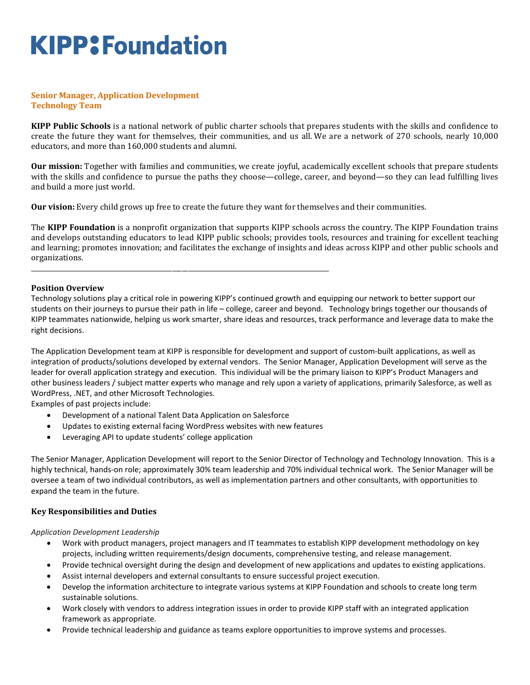# **KIPP: Foundation**

#### **Senior Manager, Application Development Technology Team**

**KIPP Public Schools** is a national network of public charter schools that prepares students with the skills and confidence to create the future they want for themselves, their communities, and us all. We are a network of 270 schools, nearly 10,000 educators, and more than 160,000 students and alumni.

**Our mission:** Together with families and communities, we create joyful, academically excellent schools that prepare students with the skills and confidence to pursue the paths they choose—college, career, and beyond—so they can lead fulfilling lives and build a more just world.

**Our vision:** Every child grows up free to create the future they want for themselves and their communities.

The **KIPP Foundation** is a nonprofit organization that supports KIPP schools across the country. The KIPP Foundation trains and develops outstanding educators to lead KIPP public schools; provides tools, resources and training for excellent teaching and learning; promotes innovation; and facilitates the exchange of insights and ideas across KIPP and other public schools and organizations.

#### **Position Overview**

Technology solutions play a critical role in powering KIPP's continued growth and equipping our network to better support our students on their journeys to pursue their path in life – college, career and beyond. Technology brings together our thousands of KIPP teammates nationwide, helping us work smarter, share ideas and resources, track performance and leverage data to make the right decisions.

The Application Development team at KIPP is responsible for development and support of custom-built applications, as well as integration of products/solutions developed by external vendors. The Senior Manager, Application Development will serve as the leader for overall application strategy and execution. This individual will be the primary liaison to KIPP's Product Managers and other business leaders / subject matter experts who manage and rely upon a variety of applications, primarily Salesforce, as well as WordPress, .NET, and other Microsoft Technologies.

Examples of past projects include:

- Development of a national Talent Data Application on Salesforce
- Updates to existing external facing WordPress websites with new features

\_\_\_\_\_\_\_\_\_\_\_\_\_\_\_\_\_\_\_\_\_\_\_\_\_\_\_\_\_\_\_\_\_\_\_\_\_\_\_\_\_\_\_\_\_\_\_\_\_\_\_\_\_\_\_\_\_\_\_\_\_\_\_\_\_\_\_\_\_\_\_\_\_\_\_\_\_\_\_\_\_\_\_\_\_\_\_\_\_\_\_\_\_

Leveraging API to update students' college application

The Senior Manager, Application Development will report to the Senior Director of Technology and Technology Innovation. This is a highly technical, hands-on role; approximately 30% team leadership and 70% individual technical work. The Senior Manager will be oversee a team of two individual contributors, as well as implementation partners and other consultants, with opportunities to expand the team in the future.

#### **Key Responsibilities and Duties**

#### *Application Development Leadership*

- Work with product managers, project managers and IT teammates to establish KIPP development methodology on key projects, including written requirements/design documents, comprehensive testing, and release management.
- Provide technical oversight during the design and development of new applications and updates to existing applications.
- Assist internal developers and external consultants to ensure successful project execution.
- Develop the information architecture to integrate various systems at KIPP Foundation and schools to create long term sustainable solutions.
- Work closely with vendors to address integration issues in order to provide KIPP staff with an integrated application framework as appropriate.
- Provide technical leadership and guidance as teams explore opportunities to improve systems and processes.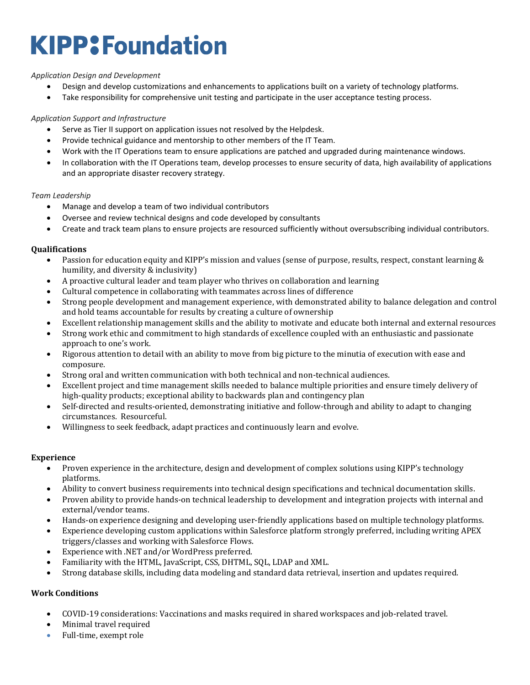# **KIPP: Foundation**

### *Application Design and Development*

- Design and develop customizations and enhancements to applications built on a variety of technology platforms.
- Take responsibility for comprehensive unit testing and participate in the user acceptance testing process.

### *Application Support and Infrastructure*

- Serve as Tier II support on application issues not resolved by the Helpdesk.
- Provide technical guidance and mentorship to other members of the IT Team.
- Work with the IT Operations team to ensure applications are patched and upgraded during maintenance windows.
- In collaboration with the IT Operations team, develop processes to ensure security of data, high availability of applications and an appropriate disaster recovery strategy.

#### *Team Leadership*

- Manage and develop a team of two individual contributors
- Oversee and review technical designs and code developed by consultants
- Create and track team plans to ensure projects are resourced sufficiently without oversubscribing individual contributors.

## **Qualifications**

- Passion for education equity and KIPP's mission and values (sense of purpose, results, respect, constant learning & humility, and diversity & inclusivity)
- A proactive cultural leader and team player who thrives on collaboration and learning
- Cultural competence in collaborating with teammates across lines of difference
- Strong people development and management experience, with demonstrated ability to balance delegation and control and hold teams accountable for results by creating a culture of ownership
- Excellent relationship management skills and the ability to motivate and educate both internal and external resources
- Strong work ethic and commitment to high standards of excellence coupled with an enthusiastic and passionate approach to one's work.
- Rigorous attention to detail with an ability to move from big picture to the minutia of execution with ease and composure.
- Strong oral and written communication with both technical and non-technical audiences.
- Excellent project and time management skills needed to balance multiple priorities and ensure timely delivery of high-quality products; exceptional ability to backwards plan and contingency plan
- Self-directed and results-oriented, demonstrating initiative and follow-through and ability to adapt to changing circumstances. Resourceful.
- Willingness to seek feedback, adapt practices and continuously learn and evolve.

#### **Experience**

- Proven experience in the architecture, design and development of complex solutions using KIPP's technology platforms.
- Ability to convert business requirements into technical design specifications and technical documentation skills.
- Proven ability to provide hands-on technical leadership to development and integration projects with internal and external/vendor teams.
- Hands-on experience designing and developing user-friendly applications based on multiple technology platforms.
- Experience developing custom applications within Salesforce platform strongly preferred, including writing APEX triggers/classes and working with Salesforce Flows.
- Experience with .NET and/or WordPress preferred.
- Familiarity with the HTML, JavaScript, CSS, DHTML, SQL, LDAP and XML.
- Strong database skills, including data modeling and standard data retrieval, insertion and updates required.

## **Work Conditions**

- COVID-19 considerations: Vaccinations and masks required in shared workspaces and job-related travel.
- Minimal travel required
- Full-time, exempt role